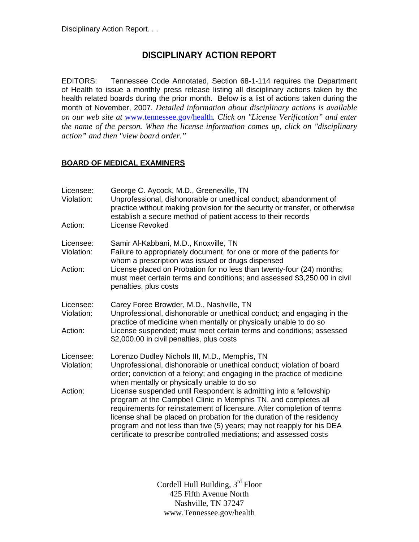# **DISCIPLINARY ACTION REPORT**

EDITORS: Tennessee Code Annotated, Section 68-1-114 requires the Department of Health to issue a monthly press release listing all disciplinary actions taken by the health related boards during the prior month. Below is a list of actions taken during the month of November, 2007. *Detailed information about disciplinary actions is available on our web site at* www.tennessee.gov/health*. Click on "License Verification" and enter the name of the person. When the license information comes up, click on "disciplinary action" and then "view board order."* 

## **BOARD OF MEDICAL EXAMINERS**

| Licensee:<br>Violation: | George C. Aycock, M.D., Greeneville, TN<br>Unprofessional, dishonorable or unethical conduct; abandonment of<br>practice without making provision for the security or transfer, or otherwise<br>establish a secure method of patient access to their records                                                                                                      |
|-------------------------|-------------------------------------------------------------------------------------------------------------------------------------------------------------------------------------------------------------------------------------------------------------------------------------------------------------------------------------------------------------------|
| Action:                 | License Revoked                                                                                                                                                                                                                                                                                                                                                   |
| Licensee:<br>Violation: | Samir Al-Kabbani, M.D., Knoxville, TN<br>Failure to appropriately document, for one or more of the patients for<br>whom a prescription was issued or drugs dispensed                                                                                                                                                                                              |
| Action:                 | License placed on Probation for no less than twenty-four (24) months;<br>must meet certain terms and conditions; and assessed \$3,250.00 in civil<br>penalties, plus costs                                                                                                                                                                                        |
| Licensee:<br>Violation: | Carey Foree Browder, M.D., Nashville, TN<br>Unprofessional, dishonorable or unethical conduct; and engaging in the<br>practice of medicine when mentally or physically unable to do so                                                                                                                                                                            |
| Action:                 | License suspended; must meet certain terms and conditions; assessed<br>\$2,000.00 in civil penalties, plus costs                                                                                                                                                                                                                                                  |
| Licensee:               | Lorenzo Dudley Nichols III, M.D., Memphis, TN                                                                                                                                                                                                                                                                                                                     |
| Violation:              | Unprofessional, dishonorable or unethical conduct; violation of board<br>order; conviction of a felony; and engaging in the practice of medicine<br>when mentally or physically unable to do so                                                                                                                                                                   |
| Action:                 | License suspended until Respondent is admitting into a fellowship<br>program at the Campbell Clinic in Memphis TN. and completes all<br>requirements for reinstatement of licensure. After completion of terms<br>license shall be placed on probation for the duration of the residency<br>program and not less than five (5) years; may not reapply for his DEA |
|                         | certificate to prescribe controlled mediations; and assessed costs                                                                                                                                                                                                                                                                                                |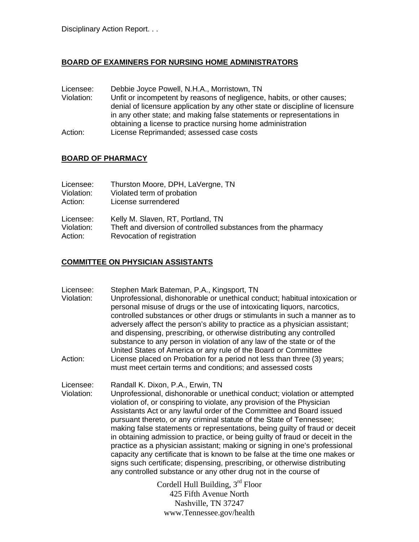## **BOARD OF EXAMINERS FOR NURSING HOME ADMINISTRATORS**

- Licensee: Debbie Joyce Powell, N.H.A., Morristown, TN
- Violation: Unfit or incompetent by reasons of negligence, habits, or other causes; denial of licensure application by any other state or discipline of licensure in any other state; and making false statements or representations in obtaining a license to practice nursing home administration Action: License Reprimanded; assessed case costs

### **BOARD OF PHARMACY**

| Licensee:  | Thurston Moore, DPH, LaVergne, TN                              |
|------------|----------------------------------------------------------------|
| Violation: | Violated term of probation                                     |
| Action:    | License surrendered                                            |
| Licensee:  | Kelly M. Slaven, RT, Portland, TN                              |
| Violation: | Theft and diversion of controlled substances from the pharmacy |
| Action:    | Revocation of registration                                     |

## **COMMITTEE ON PHYSICIAN ASSISTANTS**

- Licensee: Stephen Mark Bateman, P.A., Kingsport, TN Violation: Unprofessional, dishonorable or unethical conduct; habitual intoxication or personal misuse of drugs or the use of intoxicating liquors, narcotics, controlled substances or other drugs or stimulants in such a manner as to adversely affect the person's ability to practice as a physician assistant; and dispensing, prescribing, or otherwise distributing any controlled substance to any person in violation of any law of the state or of the United States of America or any rule of the Board or Committee Action: License placed on Probation for a period not less than three (3) years; must meet certain terms and conditions; and assessed costs
- Licensee: Randall K. Dixon, P.A., Erwin, TN Violation: Unprofessional, dishonorable or unethical conduct; violation or attempted violation of, or conspiring to violate, any provision of the Physician Assistants Act or any lawful order of the Committee and Board issued pursuant thereto, or any criminal statute of the State of Tennessee; making false statements or representations, being guilty of fraud or deceit in obtaining admission to practice, or being guilty of fraud or deceit in the practice as a physician assistant; making or signing in one's professional capacity any certificate that is known to be false at the time one makes or signs such certificate; dispensing, prescribing, or otherwise distributing any controlled substance or any other drug not in the course of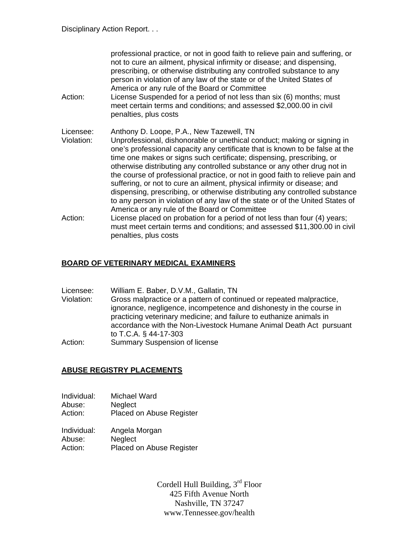Disciplinary Action Report. . .

| Action:                 | professional practice, or not in good faith to relieve pain and suffering, or<br>not to cure an ailment, physical infirmity or disease; and dispensing,<br>prescribing, or otherwise distributing any controlled substance to any<br>person in violation of any law of the state or of the United States of<br>America or any rule of the Board or Committee<br>License Suspended for a period of not less than six (6) months; must<br>meet certain terms and conditions; and assessed \$2,000.00 in civil<br>penalties, plus costs                                                                                                                                                                                                   |
|-------------------------|----------------------------------------------------------------------------------------------------------------------------------------------------------------------------------------------------------------------------------------------------------------------------------------------------------------------------------------------------------------------------------------------------------------------------------------------------------------------------------------------------------------------------------------------------------------------------------------------------------------------------------------------------------------------------------------------------------------------------------------|
| Licensee:<br>Violation: | Anthony D. Loope, P.A., New Tazewell, TN<br>Unprofessional, dishonorable or unethical conduct; making or signing in<br>one's professional capacity any certificate that is known to be false at the<br>time one makes or signs such certificate; dispensing, prescribing, or<br>otherwise distributing any controlled substance or any other drug not in<br>the course of professional practice, or not in good faith to relieve pain and<br>suffering, or not to cure an ailment, physical infirmity or disease; and<br>dispensing, prescribing, or otherwise distributing any controlled substance<br>to any person in violation of any law of the state or of the United States of<br>America or any rule of the Board or Committee |
| Action:                 | License placed on probation for a period of not less than four (4) years;<br>must meet certain terms and conditions; and assessed \$11,300.00 in civil<br>penalties, plus costs                                                                                                                                                                                                                                                                                                                                                                                                                                                                                                                                                        |

#### **BOARD OF VETERINARY MEDICAL EXAMINERS**

Licensee: William E. Baber, D.V.M., Gallatin, TN Violation: Gross malpractice or a pattern of continued or repeated malpractice, ignorance, negligence, incompetence and dishonesty in the course in practicing veterinary medicine; and failure to euthanize animals in accordance with the Non-Livestock Humane Animal Death Act pursuant to T.C.A. § 44-17-303 Action: Summary Suspension of license

## **ABUSE REGISTRY PLACEMENTS**

- Individual: Michael Ward Abuse: Neglect Action: Placed on Abuse Register
- Individual: Angela Morgan Abuse: Neglect Action: Placed on Abuse Register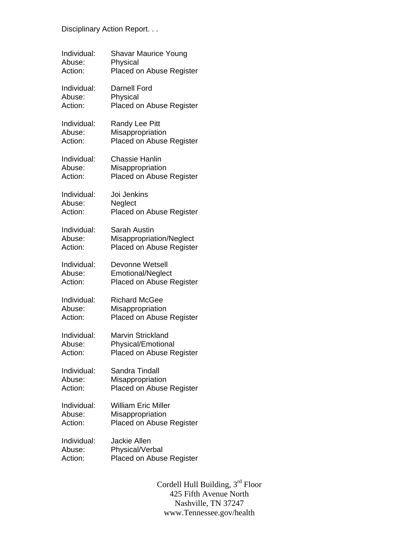Disciplinary Action Report. . .

| Individual: | <b>Shavar Maurice Young</b> |
|-------------|-----------------------------|
| Abuse:      | Physical                    |
| Action:     | Placed on Abuse Register    |
| Individual: | <b>Darnell Ford</b>         |
| Abuse:      | Physical                    |
| Action:     | Placed on Abuse Register    |
| Individual: | Randy Lee Pitt              |
| Abuse:      | Misappropriation            |
| Action:     | Placed on Abuse Register    |
| Individual: | <b>Chassie Hanlin</b>       |
| Abuse:      | Misappropriation            |
| Action:     | Placed on Abuse Register    |
| Individual: | Joi Jenkins                 |
| Abuse:      | Neglect                     |
| Action:     | Placed on Abuse Register    |
| Individual: | <b>Sarah Austin</b>         |
| Abuse:      | Misappropriation/Neglect    |
| Action:     | Placed on Abuse Register    |
| Individual: | <b>Devonne Wetsell</b>      |
| Abuse:      | <b>Emotional/Neglect</b>    |
| Action:     | Placed on Abuse Register    |
| Individual: | <b>Richard McGee</b>        |
| Abuse:      | Misappropriation            |
| Action:     | Placed on Abuse Register    |
| Individual: | <b>Marvin Strickland</b>    |
| Abuse:      | Physical/Emotional          |
| Action:     | Placed on Abuse Register    |
| Individual: | Sandra Tindall              |
| Abuse:      | Misappropriation            |
| Action:     | Placed on Abuse Register    |
| Individual: | <b>William Eric Miller</b>  |
| Abuse:      | Misappropriation            |
| Action:     | Placed on Abuse Register    |
| Individual: | <b>Jackie Allen</b>         |
| Abuse:      | Physical/Verbal             |
| Action:     | Placed on Abuse Register    |
|             |                             |